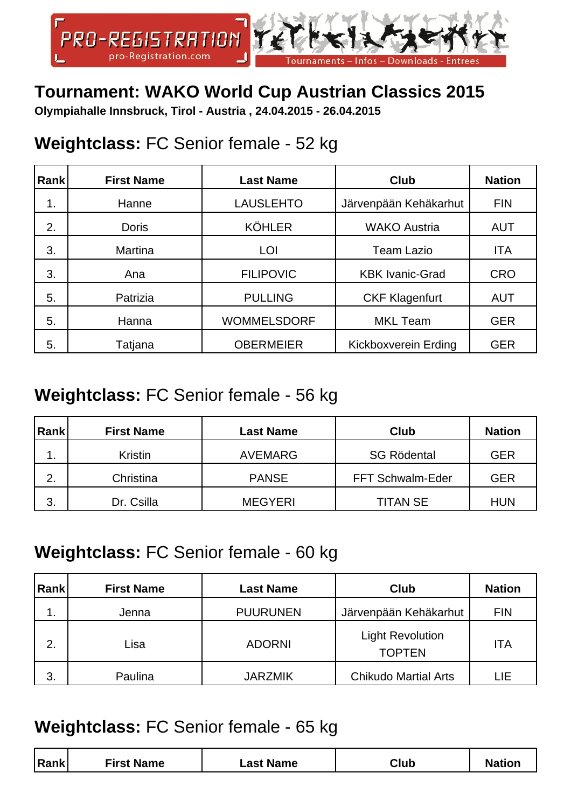

# **Tournament: WAKO World Cup Austrian Classics 2015**

**Olympiahalle Innsbruck, Tirol - Austria , 24.04.2015 - 26.04.2015**

### **Weightclass:** FC Senior female - 52 kg

| Rank | <b>First Name</b> | <b>Last Name</b>   | <b>Club</b>            | <b>Nation</b> |
|------|-------------------|--------------------|------------------------|---------------|
| 1.   | Hanne             | <b>LAUSLEHTO</b>   | Järvenpään Kehäkarhut  | <b>FIN</b>    |
| 2.   | <b>Doris</b>      | <b>KÖHLER</b>      | <b>WAKO Austria</b>    | <b>AUT</b>    |
| 3.   | <b>Martina</b>    | LOI                | <b>Team Lazio</b>      | <b>ITA</b>    |
| 3.   | Ana               | <b>FILIPOVIC</b>   | <b>KBK Ivanic-Grad</b> | <b>CRO</b>    |
| 5.   | Patrizia          | <b>PULLING</b>     | <b>CKF Klagenfurt</b>  | <b>AUT</b>    |
| 5.   | Hanna             | <b>WOMMELSDORF</b> | <b>MKL Team</b>        | <b>GER</b>    |
| 5.   | Tatjana           | <b>OBERMEIER</b>   | Kickboxverein Erding   | <b>GER</b>    |

#### **Weightclass:** FC Senior female - 56 kg

| Rank | <b>First Name</b> | <b>Last Name</b> | <b>Club</b>        | <b>Nation</b> |
|------|-------------------|------------------|--------------------|---------------|
|      | <b>Kristin</b>    | <b>AVEMARG</b>   | <b>SG Rödental</b> | <b>GER</b>    |
| 2.   | Christina         | <b>PANSE</b>     | FFT Schwalm-Eder   | <b>GER</b>    |
| 3.   | Dr. Csilla        | <b>MEGYERI</b>   | <b>TITAN SE</b>    | <b>HUN</b>    |

#### **Weightclass:** FC Senior female - 60 kg

| Rank | <b>First Name</b> | <b>Last Name</b> | Club                                     | <b>Nation</b> |
|------|-------------------|------------------|------------------------------------------|---------------|
| 1.   | Jenna             | <b>PUURUNEN</b>  | Järvenpään Kehäkarhut                    | <b>FIN</b>    |
| 2.   | Lisa              | <b>ADORNI</b>    | <b>Light Revolution</b><br><b>TOPTEN</b> | <b>ITA</b>    |
| 3.   | Paulina           | <b>JARZMIK</b>   | <b>Chikudo Martial Arts</b>              | LIE           |

#### **Weightclass:** FC Senior female - 65 kg

|--|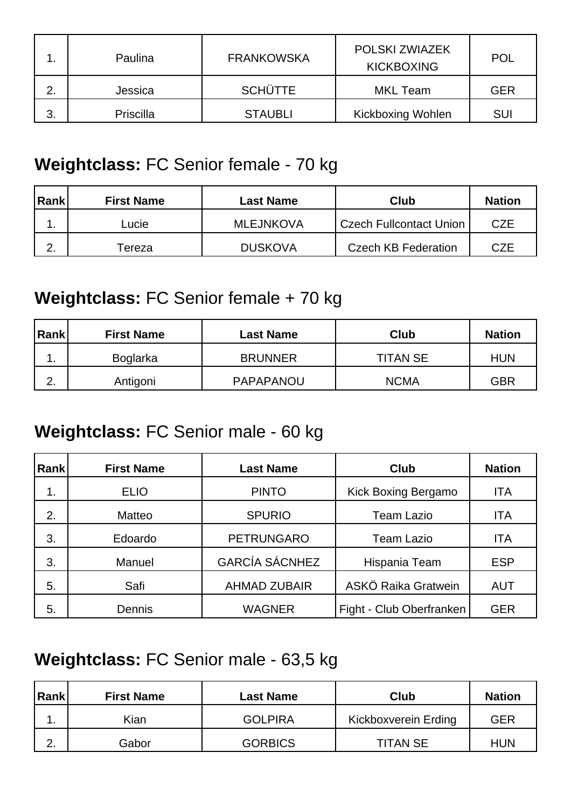|    | Paulina   | <b>FRANKOWSKA</b> | POLSKI ZWIAZEK<br><b>KICKBOXING</b> | <b>POL</b> |
|----|-----------|-------------------|-------------------------------------|------------|
| 2. | Jessica   | <b>SCHÜTTE</b>    | MKL Team                            | GER        |
| 3. | Priscilla | <b>STAUBLI</b>    | <b>Kickboxing Wohlen</b>            | SUI        |

## **Weightclass:** FC Senior female - 70 kg

| Rank | <b>First Name</b> | Last Name        | Club                       | <b>Nation</b> |
|------|-------------------|------------------|----------------------------|---------------|
|      | ∟ucie             | <b>MLEJNKOVA</b> | Czech Fullcontact Union    | <b>CZE</b>    |
| ⌒    | ⊺ereza            | <b>DUSKOVA</b>   | <b>Czech KB Federation</b> | CZE           |

### **Weightclass:** FC Senior female + 70 kg

| Rank          | <b>First Name</b> | <b>Last Name</b> | Club            | <b>Nation</b> |
|---------------|-------------------|------------------|-----------------|---------------|
| . .           | Boglarka          | <b>BRUNNER</b>   | <b>TITAN SE</b> | <b>HUN</b>    |
| ົ<br><u>.</u> | Antigoni          | PAPAPANOU        | <b>NCMA</b>     | GBR           |

## **Weightclass:** FC Senior male - 60 kg

| <b>Rank</b> | <b>First Name</b> | <b>Last Name</b>      | <b>Club</b>              | <b>Nation</b> |
|-------------|-------------------|-----------------------|--------------------------|---------------|
| 1.          | <b>ELIO</b>       | <b>PINTO</b>          | Kick Boxing Bergamo      | <b>ITA</b>    |
| 2.          | Matteo            | <b>SPURIO</b>         | Team Lazio               | ITA           |
| 3.          | Edoardo           | <b>PETRUNGARO</b>     | <b>Team Lazio</b>        | <b>ITA</b>    |
| 3.          | Manuel            | <b>GARCÍA SÁCNHEZ</b> | Hispania Team            | <b>ESP</b>    |
| 5.          | Safi              | <b>AHMAD ZUBAIR</b>   | ASKÖ Raika Gratwein      | <b>AUT</b>    |
| 5.          | Dennis            | <b>WAGNER</b>         | Fight - Club Oberfranken | <b>GER</b>    |

# **Weightclass:** FC Senior male - 63,5 kg

| Rank             | <b>First Name</b> | Last Name      | Club                 | <b>Nation</b> |
|------------------|-------------------|----------------|----------------------|---------------|
| . .              | Kian              | <b>GOLPIRA</b> | Kickboxverein Erding | GER           |
| ⌒<br><u>. . </u> | Gabor             | <b>GORBICS</b> | <b>TITAN SE</b>      | <b>HUN</b>    |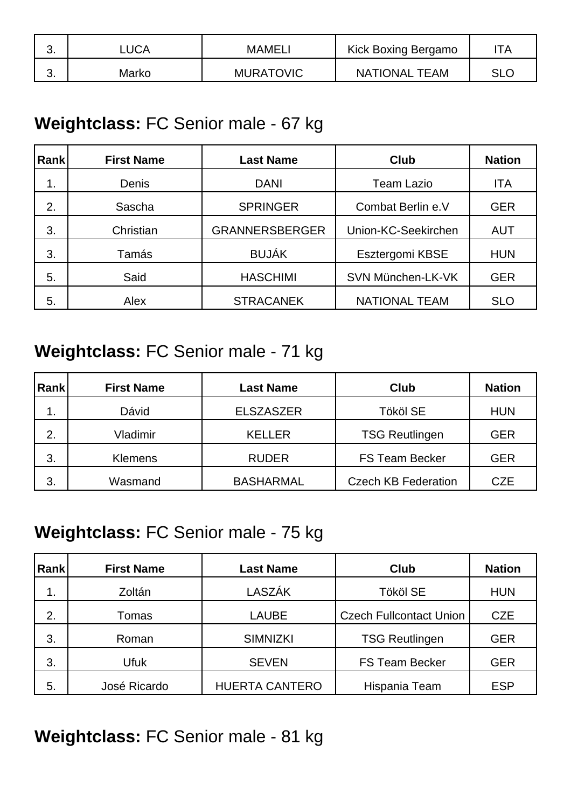| J. | _UCA  | <b>MAMEL.</b>    | Kick Boxing Bergamo  | TА  |
|----|-------|------------------|----------------------|-----|
| v. | Marko | <b>MURATOVIC</b> | <b>NATIONAL TEAM</b> | SLC |

#### **Weightclass:** FC Senior male - 67 kg

| <b>Rank</b> | <b>First Name</b> | <b>Last Name</b>      | <b>Club</b>          | <b>Nation</b> |
|-------------|-------------------|-----------------------|----------------------|---------------|
| 1.          | Denis             | <b>DANI</b>           | <b>Team Lazio</b>    | <b>ITA</b>    |
| 2.          | Sascha            | <b>SPRINGER</b>       | Combat Berlin e.V    | <b>GER</b>    |
| 3.          | Christian         | <b>GRANNERSBERGER</b> | Union-KC-Seekirchen  | <b>AUT</b>    |
| 3.          | Tamás             | <b>BUJÁK</b>          | Esztergomi KBSE      | <b>HUN</b>    |
| 5.          | Said              | <b>HASCHIMI</b>       | SVN München-LK-VK    | <b>GER</b>    |
| 5.          | Alex              | <b>STRACANEK</b>      | <b>NATIONAL TEAM</b> | <b>SLO</b>    |

### **Weightclass:** FC Senior male - 71 kg

| Rank | <b>First Name</b> | <b>Last Name</b> | <b>Club</b>                | <b>Nation</b> |
|------|-------------------|------------------|----------------------------|---------------|
| . .  | Dávid             | <b>ELSZASZER</b> | Tököl SE                   | <b>HUN</b>    |
| 2.   | Vladimir          | <b>KELLER</b>    | <b>TSG Reutlingen</b>      | <b>GER</b>    |
| 3.   | <b>Klemens</b>    | <b>RUDER</b>     | <b>FS Team Becker</b>      | <b>GER</b>    |
| 3.   | Wasmand           | <b>BASHARMAL</b> | <b>Czech KB Federation</b> | <b>CZE</b>    |

#### **Weightclass:** FC Senior male - 75 kg

| Rank | <b>First Name</b> | <b>Last Name</b>      | <b>Club</b>                    | <b>Nation</b> |
|------|-------------------|-----------------------|--------------------------------|---------------|
| 1.   | Zoltán            | LASZÁK                | <b>Tököl SE</b>                | <b>HUN</b>    |
| 2.   | Tomas             | <b>LAUBE</b>          | <b>Czech Fullcontact Union</b> | <b>CZE</b>    |
| 3.   | Roman             | <b>SIMNIZKI</b>       | <b>TSG Reutlingen</b>          | <b>GER</b>    |
| 3.   | <b>Ufuk</b>       | <b>SEVEN</b>          | <b>FS Team Becker</b>          | <b>GER</b>    |
| 5.   | José Ricardo      | <b>HUERTA CANTERO</b> | Hispania Team                  | <b>ESP</b>    |

**Weightclass:** FC Senior male - 81 kg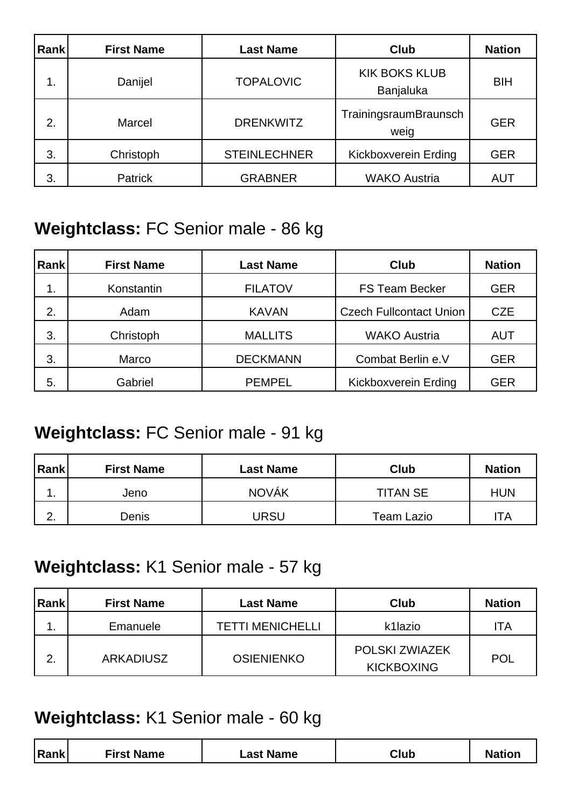| Rank | <b>First Name</b> | <b>Last Name</b>    | <b>Club</b>                       | <b>Nation</b> |
|------|-------------------|---------------------|-----------------------------------|---------------|
| 1.   | Danijel           | <b>TOPALOVIC</b>    | <b>KIK BOKS KLUB</b><br>Banjaluka | <b>BIH</b>    |
| 2.   | Marcel            | <b>DRENKWITZ</b>    | TrainingsraumBraunsch<br>weig     | <b>GER</b>    |
| 3.   | Christoph         | <b>STEINLECHNER</b> | Kickboxverein Erding              | <b>GER</b>    |
| 3.   | Patrick           | <b>GRABNER</b>      | <b>WAKO Austria</b>               | <b>AUT</b>    |

### **Weightclass:** FC Senior male - 86 kg

| <b>Rank</b> | <b>First Name</b> | <b>Last Name</b> | <b>Club</b>                    | <b>Nation</b> |
|-------------|-------------------|------------------|--------------------------------|---------------|
| 1.          | Konstantin        | <b>FILATOV</b>   | <b>FS Team Becker</b>          | <b>GER</b>    |
| 2.          | Adam              | <b>KAVAN</b>     | <b>Czech Fullcontact Union</b> | <b>CZE</b>    |
| 3.          | Christoph         | <b>MALLITS</b>   | <b>WAKO Austria</b>            | <b>AUT</b>    |
| 3.          | Marco             | <b>DECKMANN</b>  | Combat Berlin e.V              | <b>GER</b>    |
| 5.          | Gabriel           | <b>PEMPEL</b>    | Kickboxverein Erding           | <b>GER</b>    |

## **Weightclass:** FC Senior male - 91 kg

| <b>Rank</b>      | <b>First Name</b> | Last Name    | <b>Club</b>       | <b>Nation</b> |
|------------------|-------------------|--------------|-------------------|---------------|
| ◢<br>. .         | Jeno              | <b>NOVÁK</b> | <b>TITAN SE</b>   | <b>HUN</b>    |
| ⌒<br><u>. . </u> | Denis             | JRSU         | <b>Team Lazio</b> | TA            |

#### **Weightclass:** K1 Senior male - 57 kg

| Rank | <b>First Name</b> | Last Name               | Club                                       | <b>Nation</b> |
|------|-------------------|-------------------------|--------------------------------------------|---------------|
| . .  | Emanuele          | <b>TETTI MENICHELLI</b> | k1lazio                                    | ΊA            |
| 2.   | <b>ARKADIUSZ</b>  | <b>OSIENIENKO</b>       | <b>POLSKI ZWIAZEK</b><br><b>KICKBOXING</b> | <b>POL</b>    |

#### **Weightclass:** K1 Senior male - 60 kg

| First Name<br> Rank <br>Club<br>∟ast Name |
|-------------------------------------------|
|-------------------------------------------|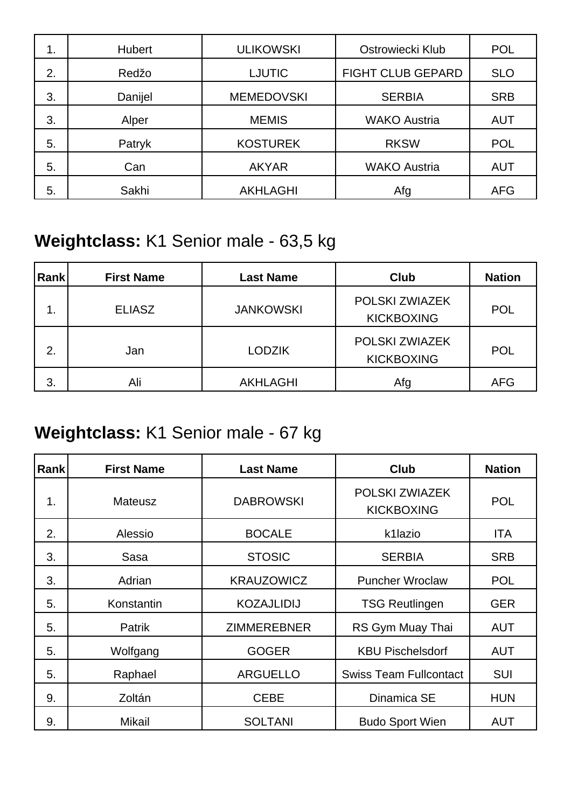| 1. | <b>Hubert</b> | <b>ULIKOWSKI</b>  | Ostrowiecki Klub         | <b>POL</b> |
|----|---------------|-------------------|--------------------------|------------|
| 2. | Redžo         | <b>LJUTIC</b>     | <b>FIGHT CLUB GEPARD</b> | <b>SLO</b> |
| 3. | Danijel       | <b>MEMEDOVSKI</b> | <b>SERBIA</b>            | <b>SRB</b> |
| 3. | Alper         | <b>MEMIS</b>      | <b>WAKO Austria</b>      | <b>AUT</b> |
| 5. | Patryk        | <b>KOSTUREK</b>   | <b>RKSW</b>              | <b>POL</b> |
| 5. | Can           | <b>AKYAR</b>      | <b>WAKO Austria</b>      | <b>AUT</b> |
| 5. | Sakhi         | <b>AKHLAGHI</b>   | Afg                      | <b>AFG</b> |

# **Weightclass:** K1 Senior male - 63,5 kg

| Rank | <b>First Name</b> | <b>Last Name</b> | Club                                | <b>Nation</b> |
|------|-------------------|------------------|-------------------------------------|---------------|
|      | <b>ELIASZ</b>     | <b>JANKOWSKI</b> | POLSKI ZWIAZEK<br><b>KICKBOXING</b> | <b>POL</b>    |
| 2.   | Jan               | <b>LODZIK</b>    | POLSKI ZWIAZEK<br><b>KICKBOXING</b> | <b>POL</b>    |
| 3.   | Ali               | <b>AKHLAGHI</b>  | Afg                                 | <b>AFG</b>    |

# **Weightclass:** K1 Senior male - 67 kg

| Rank | <b>First Name</b> | <b>Last Name</b>   | <b>Club</b>                         | <b>Nation</b> |
|------|-------------------|--------------------|-------------------------------------|---------------|
| 1.   | <b>Mateusz</b>    | <b>DABROWSKI</b>   | POLSKI ZWIAZEK<br><b>KICKBOXING</b> | <b>POL</b>    |
| 2.   | Alessio           | <b>BOCALE</b>      | k1lazio                             | ITA           |
| 3.   | Sasa              | <b>STOSIC</b>      | <b>SERBIA</b>                       | <b>SRB</b>    |
| 3.   | Adrian            | <b>KRAUZOWICZ</b>  | <b>Puncher Wroclaw</b>              | <b>POL</b>    |
| 5.   | Konstantin        | <b>KOZAJLIDIJ</b>  | <b>TSG Reutlingen</b>               | <b>GER</b>    |
| 5.   | Patrik            | <b>ZIMMEREBNER</b> | RS Gym Muay Thai                    | <b>AUT</b>    |
| 5.   | Wolfgang          | <b>GOGER</b>       | <b>KBU Pischelsdorf</b>             | <b>AUT</b>    |
| 5.   | Raphael           | <b>ARGUELLO</b>    | <b>Swiss Team Fullcontact</b>       | <b>SUI</b>    |
| 9.   | Zoltán            | <b>CEBE</b>        | Dinamica SE                         | <b>HUN</b>    |
| 9.   | Mikail            | <b>SOLTANI</b>     | <b>Budo Sport Wien</b>              | <b>AUT</b>    |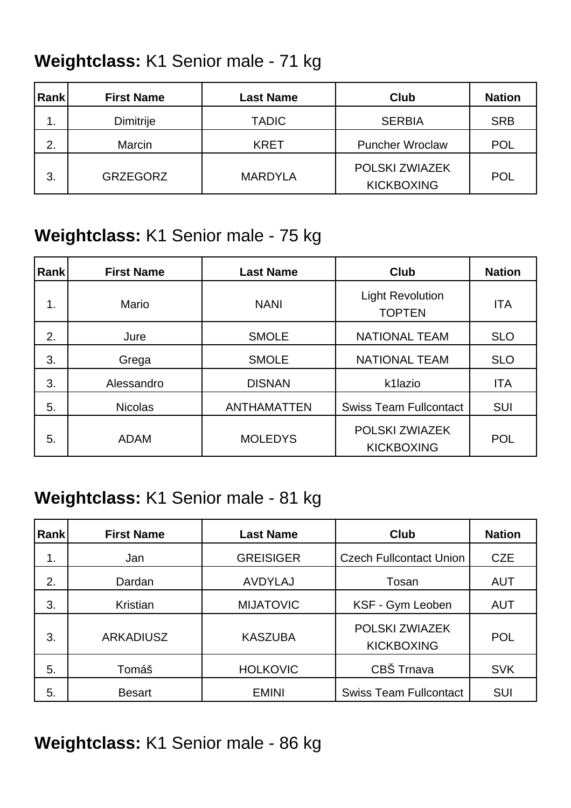# **Weightclass:** K1 Senior male - 71 kg

| Rank    | <b>First Name</b> | <b>Last Name</b> | <b>Club</b>                         | <b>Nation</b> |
|---------|-------------------|------------------|-------------------------------------|---------------|
| 1<br>ι. | <b>Dimitrije</b>  | <b>TADIC</b>     | <b>SERBIA</b>                       | <b>SRB</b>    |
| 2.      | Marcin            | <b>KRET</b>      | <b>Puncher Wroclaw</b>              | <b>POL</b>    |
| 3.      | <b>GRZEGORZ</b>   | <b>MARDYLA</b>   | POLSKI ZWIAZEK<br><b>KICKBOXING</b> | <b>POL</b>    |

# **Weightclass:** K1 Senior male - 75 kg

| <b>Rank</b> | <b>First Name</b> | <b>Last Name</b>   | <b>Club</b>                              | <b>Nation</b> |
|-------------|-------------------|--------------------|------------------------------------------|---------------|
| 1.          | Mario             | <b>NANI</b>        | <b>Light Revolution</b><br><b>TOPTEN</b> | <b>ITA</b>    |
| 2.          | Jure              | <b>SMOLE</b>       | <b>NATIONAL TEAM</b>                     | <b>SLO</b>    |
| 3.          | Grega             | <b>SMOLE</b>       | <b>NATIONAL TEAM</b>                     | <b>SLO</b>    |
| 3.          | Alessandro        | <b>DISNAN</b>      | k1lazio                                  | <b>ITA</b>    |
| 5.          | <b>Nicolas</b>    | <b>ANTHAMATTEN</b> | <b>Swiss Team Fullcontact</b>            | <b>SUI</b>    |
| 5.          | <b>ADAM</b>       | <b>MOLEDYS</b>     | POLSKI ZWIAZEK<br><b>KICKBOXING</b>      | <b>POL</b>    |

#### **Weightclass:** K1 Senior male - 81 kg

| Rank | <b>First Name</b> | <b>Last Name</b> | <b>Club</b>                         | <b>Nation</b> |
|------|-------------------|------------------|-------------------------------------|---------------|
| 1.   | Jan               | <b>GREISIGER</b> | <b>Czech Fullcontact Union</b>      | <b>CZE</b>    |
| 2.   | Dardan            | <b>AVDYLAJ</b>   | Tosan                               | <b>AUT</b>    |
| 3.   | Kristian          | <b>MIJATOVIC</b> | KSF - Gym Leoben                    | <b>AUT</b>    |
| 3.   | <b>ARKADIUSZ</b>  | <b>KASZUBA</b>   | POLSKI ZWIAZEK<br><b>KICKBOXING</b> | <b>POL</b>    |
| 5.   | Tomáš             | <b>HOLKOVIC</b>  | CBŠ Trnava                          | <b>SVK</b>    |
| 5.   | <b>Besart</b>     | <b>EMINI</b>     | <b>Swiss Team Fullcontact</b>       | <b>SUI</b>    |

**Weightclass:** K1 Senior male - 86 kg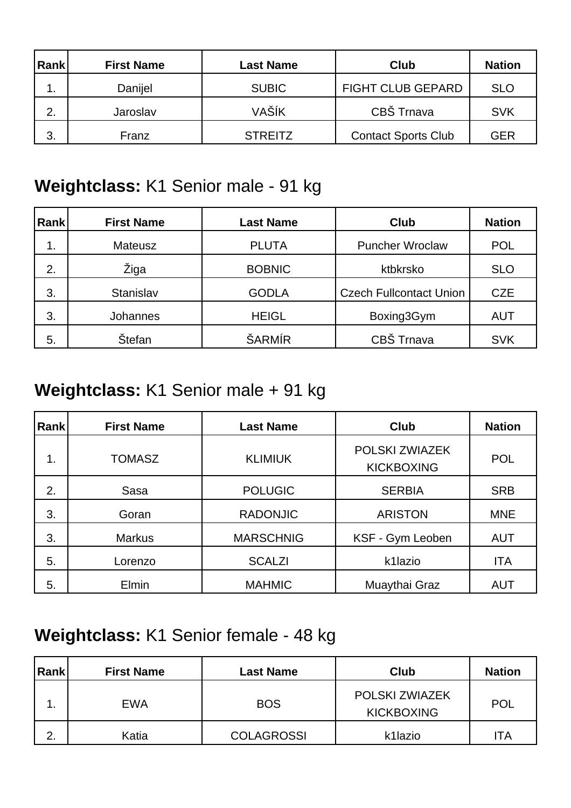| Rank | <b>First Name</b> | <b>Last Name</b> | Club                       | <b>Nation</b> |
|------|-------------------|------------------|----------------------------|---------------|
| 1.   | Danijel           | <b>SUBIC</b>     | <b>FIGHT CLUB GEPARD</b>   | <b>SLO</b>    |
| 2.   | Jaroslav          | VAŠÍK            | CBŠ Trnava                 | <b>SVK</b>    |
| 3.   | Franz             | <b>STREITZ</b>   | <b>Contact Sports Club</b> | <b>GER</b>    |

# **Weightclass:** K1 Senior male - 91 kg

| <b>Rank</b> | <b>First Name</b> | <b>Last Name</b> | <b>Club</b>                    | <b>Nation</b> |
|-------------|-------------------|------------------|--------------------------------|---------------|
| 1.          | <b>Mateusz</b>    | <b>PLUTA</b>     | <b>Puncher Wroclaw</b>         | <b>POL</b>    |
| 2.          | Žiga              | <b>BOBNIC</b>    | ktbkrsko                       | <b>SLO</b>    |
| 3.          | Stanislav         | <b>GODLA</b>     | <b>Czech Fullcontact Union</b> | <b>CZE</b>    |
| 3.          | Johannes          | <b>HEIGL</b>     | Boxing3Gym                     | <b>AUT</b>    |
| 5.          | <b>Štefan</b>     | ŠARMÍR           | CBŠ Trnava                     | <b>SVK</b>    |

# **Weightclass:** K1 Senior male + 91 kg

| <b>Rank</b> | <b>First Name</b> | <b>Last Name</b> | <b>Club</b>                         | <b>Nation</b> |
|-------------|-------------------|------------------|-------------------------------------|---------------|
| 1.          | <b>TOMASZ</b>     | <b>KLIMIUK</b>   | POLSKI ZWIAZEK<br><b>KICKBOXING</b> | <b>POL</b>    |
| 2.          | Sasa              | <b>POLUGIC</b>   | <b>SERBIA</b>                       | <b>SRB</b>    |
| 3.          | Goran             | <b>RADONJIC</b>  | <b>ARISTON</b>                      | <b>MNE</b>    |
| 3.          | <b>Markus</b>     | <b>MARSCHNIG</b> | KSF - Gym Leoben                    | <b>AUT</b>    |
| 5.          | Lorenzo           | <b>SCALZI</b>    | k1lazio                             | <b>ITA</b>    |
| 5.          | <b>Elmin</b>      | <b>MAHMIC</b>    | Muaythai Graz                       | <b>AUT</b>    |

# **Weightclass:** K1 Senior female - 48 kg

| Rank    | <b>First Name</b> | <b>Last Name</b>  | Club                                       | <b>Nation</b> |
|---------|-------------------|-------------------|--------------------------------------------|---------------|
|         | <b>EWA</b>        | <b>BOS</b>        | <b>POLSKI ZWIAZEK</b><br><b>KICKBOXING</b> | <b>POL</b>    |
| ◠<br>۷. | Katia             | <b>COLAGROSSI</b> | k1lazio                                    | 'TA           |